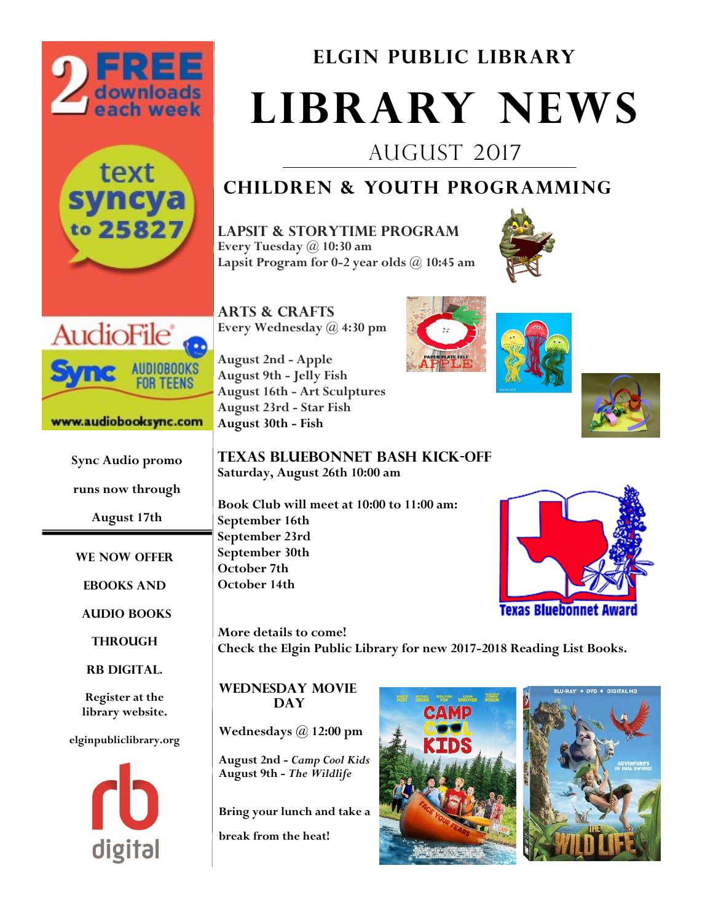





#### www.audiobooksync.com

**Sync Audio promo runs now through** 

**August 17th**

**We now offer**

**Ebooks and**

**Audio Books**

**Through** 

**Rb digital.**

**Register at the library website.**

**elginpubliclibrary.org** 



**Elgin Public Library**

# **Library News**

August 2017

# **Children & Youth Programming**

**Lapsit & storytime program Every Tuesday @ 10:30 am Lapsit Program for 0-2 year olds @ 10:45 am**







**Texas Bluebonnet bash kick-off Saturday, August 26th 10:00 am**

**Book Club will meet at 10:00 to 11:00 am: September 16th September 23rd September 30th October 7th October 14th**

**More details to come! Check the Elgin Public Library for new 2017-2018 Reading List Books.**

**wednesday movie Day** 

**August 30th - Fish**

**Wednesdays @ 12:00 pm**

**August 2nd -** *Camp Cool Kids* **August 9th -** *The Wildlife*

**Bring your lunch and take a** 

**break from the heat!**





**Texas Bluebonnet Award**